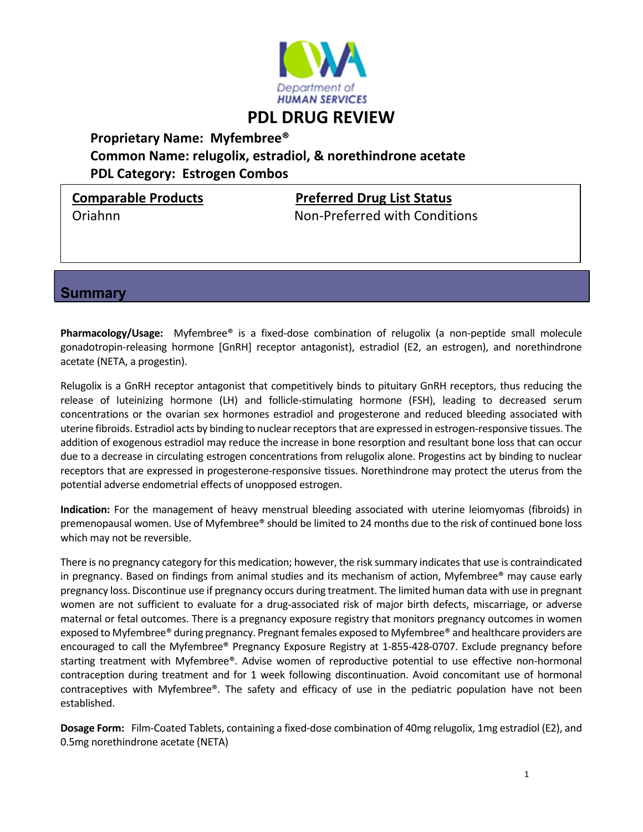

# **PDL DRUG REVIEW**

## **Proprietary Name: Myfembree® Common Name: relugolix, estradiol, & norethindrone acetate PDL Category: Estrogen Combos**

**Comparable Products Preferred Drug List Status**

Oriahnn Non‐Preferred with Conditions

**Summary** 

**Pharmacology/Usage:** Myfembree® is a fixed-dose combination of relugolix (a non-peptide small molecule gonadotropin‐releasing hormone [GnRH] receptor antagonist), estradiol (E2, an estrogen), and norethindrone acetate (NETA, a progestin).

Relugolix is a GnRH receptor antagonist that competitively binds to pituitary GnRH receptors, thus reducing the release of luteinizing hormone (LH) and follicle‐stimulating hormone (FSH), leading to decreased serum concentrations or the ovarian sex hormones estradiol and progesterone and reduced bleeding associated with uterine fibroids. Estradiol acts by binding to nuclear receptors that are expressed in estrogen-responsive tissues. The addition of exogenous estradiol may reduce the increase in bone resorption and resultant bone loss that can occur due to a decrease in circulating estrogen concentrations from relugolix alone. Progestins act by binding to nuclear receptors that are expressed in progesterone‐responsive tissues. Norethindrone may protect the uterus from the potential adverse endometrial effects of unopposed estrogen.

**Indication:** For the management of heavy menstrual bleeding associated with uterine leiomyomas (fibroids) in premenopausal women. Use of Myfembree® should be limited to 24 months due to the risk of continued bone loss which may not be reversible.

There is no pregnancy category for this medication; however, the risk summary indicatesthat use is contraindicated in pregnancy. Based on findings from animal studies and its mechanism of action, Myfembree® may cause early pregnancy loss. Discontinue use if pregnancy occurs during treatment. The limited human data with use in pregnant women are not sufficient to evaluate for a drug-associated risk of major birth defects, miscarriage, or adverse maternal or fetal outcomes. There is a pregnancy exposure registry that monitors pregnancy outcomes in women exposed to Myfembree® during pregnancy. Pregnant females exposed to Myfembree® and healthcare providers are encouraged to call the Myfembree® Pregnancy Exposure Registry at 1‐855‐428‐0707. Exclude pregnancy before starting treatment with Myfembree®. Advise women of reproductive potential to use effective non‐hormonal contraception during treatment and for 1 week following discontinuation. Avoid concomitant use of hormonal contraceptives with Myfembree®. The safety and efficacy of use in the pediatric population have not been established.

**Dosage Form:** Film‐Coated Tablets, containing a fixed‐dose combination of 40mg relugolix, 1mg estradiol (E2), and 0.5mg norethindrone acetate (NETA)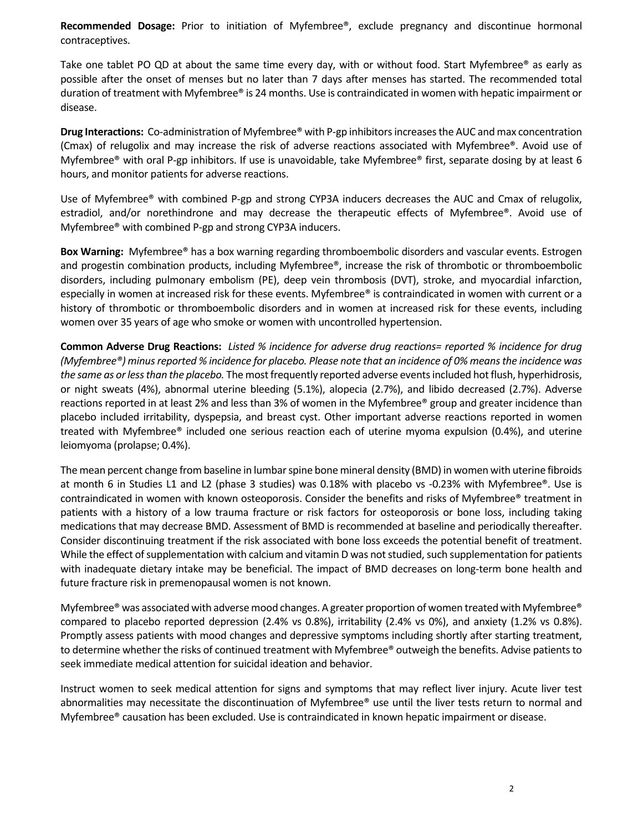**Recommended Dosage:** Prior to initiation of Myfembree®, exclude pregnancy and discontinue hormonal contraceptives.

Take one tablet PO QD at about the same time every day, with or without food. Start Myfembree® as early as possible after the onset of menses but no later than 7 days after menses has started. The recommended total duration of treatment with Myfembree® is 24 months. Use is contraindicated in women with hepatic impairment or disease.

**Drug Interactions:** Co‐administration of Myfembree® with P‐gp inhibitorsincreasesthe AUC and max concentration (Cmax) of relugolix and may increase the risk of adverse reactions associated with Myfembree®. Avoid use of Myfembree® with oral P-gp inhibitors. If use is unavoidable, take Myfembree® first, separate dosing by at least 6 hours, and monitor patients for adverse reactions.

Use of Myfembree® with combined P‐gp and strong CYP3A inducers decreases the AUC and Cmax of relugolix, estradiol, and/or norethindrone and may decrease the therapeutic effects of Myfembree®. Avoid use of Myfembree® with combined P‐gp and strong CYP3A inducers.

**Box Warning:** Myfembree® has a box warning regarding thromboembolic disorders and vascular events. Estrogen and progestin combination products, including Myfembree®, increase the risk of thrombotic or thromboembolic disorders, including pulmonary embolism (PE), deep vein thrombosis (DVT), stroke, and myocardial infarction, especially in women at increased risk for these events. Myfembree® is contraindicated in women with current or a history of thrombotic or thromboembolic disorders and in women at increased risk for these events, including women over 35 years of age who smoke or women with uncontrolled hypertension.

Common Adverse Drug Reactions: Listed % incidence for adverse drug reactions= reported % incidence for drug *(Myfembree®) minusreported % incidence for placebo. Please note that an incidence of 0% meansthe incidence was the* same as or less than the placebo. The most frequently reported adverse events included hot flush, hyperhidrosis, or night sweats (4%), abnormal uterine bleeding (5.1%), alopecia (2.7%), and libido decreased (2.7%). Adverse reactions reported in at least 2% and less than 3% of women in the Myfembree® group and greater incidence than placebo included irritability, dyspepsia, and breast cyst. Other important adverse reactions reported in women treated with Myfembree® included one serious reaction each of uterine myoma expulsion (0.4%), and uterine leiomyoma (prolapse; 0.4%).

The mean percent change from baseline in lumbar spine bone mineral density (BMD) in women with uterine fibroids at month 6 in Studies L1 and L2 (phase 3 studies) was 0.18% with placebo vs ‐0.23% with Myfembree®. Use is contraindicated in women with known osteoporosis. Consider the benefits and risks of Myfembree® treatment in patients with a history of a low trauma fracture or risk factors for osteoporosis or bone loss, including taking medications that may decrease BMD. Assessment of BMD is recommended at baseline and periodically thereafter. Consider discontinuing treatment if the risk associated with bone loss exceeds the potential benefit of treatment. While the effect of supplementation with calcium and vitamin D was not studied, such supplementation for patients with inadequate dietary intake may be beneficial. The impact of BMD decreases on long-term bone health and future fracture risk in premenopausal women is not known.

Myfembree® was associated with adverse mood changes. A greater proportion of women treated with Myfembree® compared to placebo reported depression (2.4% vs 0.8%), irritability (2.4% vs 0%), and anxiety (1.2% vs 0.8%). Promptly assess patients with mood changes and depressive symptoms including shortly after starting treatment, to determine whether the risks of continued treatment with Myfembree® outweigh the benefits. Advise patients to seek immediate medical attention for suicidal ideation and behavior.

Instruct women to seek medical attention for signs and symptoms that may reflect liver injury. Acute liver test abnormalities may necessitate the discontinuation of Myfembree® use until the liver tests return to normal and Myfembree® causation has been excluded. Use is contraindicated in known hepatic impairment or disease.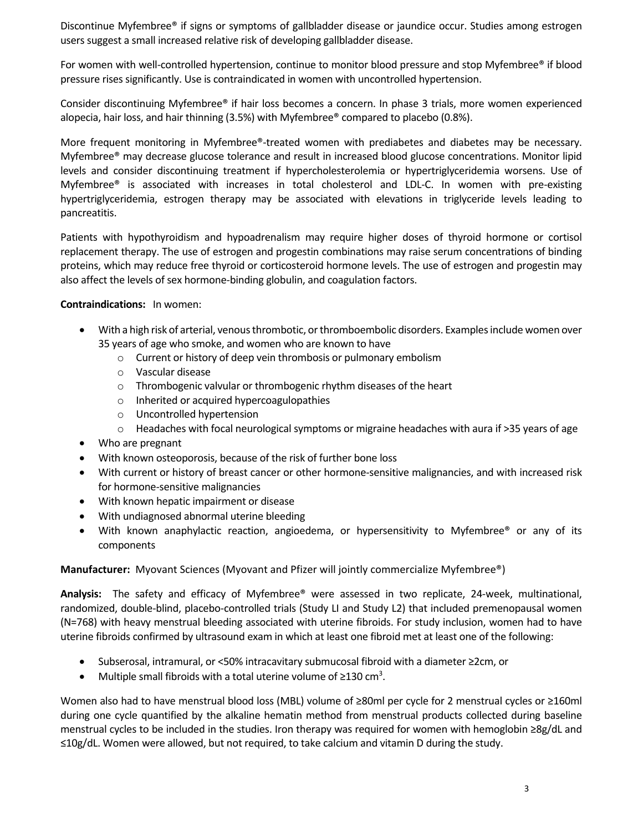Discontinue Myfembree® if signs or symptoms of gallbladder disease or jaundice occur. Studies among estrogen users suggest a small increased relative risk of developing gallbladder disease.

For women with well-controlled hypertension, continue to monitor blood pressure and stop Myfembree® if blood pressure rises significantly. Use is contraindicated in women with uncontrolled hypertension.

Consider discontinuing Myfembree® if hair loss becomes a concern. In phase 3 trials, more women experienced alopecia, hair loss, and hair thinning (3.5%) with Myfembree® compared to placebo (0.8%).

More frequent monitoring in Myfembree®-treated women with prediabetes and diabetes may be necessary. Myfembree® may decrease glucose tolerance and result in increased blood glucose concentrations. Monitor lipid levels and consider discontinuing treatment if hypercholesterolemia or hypertriglyceridemia worsens. Use of Myfembree® is associated with increases in total cholesterol and LDL‐C. In women with pre‐existing hypertriglyceridemia, estrogen therapy may be associated with elevations in triglyceride levels leading to pancreatitis.

Patients with hypothyroidism and hypoadrenalism may require higher doses of thyroid hormone or cortisol replacement therapy. The use of estrogen and progestin combinations may raise serum concentrations of binding proteins, which may reduce free thyroid or corticosteroid hormone levels. The use of estrogen and progestin may also affect the levels of sex hormone‐binding globulin, and coagulation factors.

#### **Contraindications:** In women:

- With a high risk of arterial, venous thrombotic, or thromboembolic disorders. Examples include women over 35 years of age who smoke, and women who are known to have
	- o Current or history of deep vein thrombosis or pulmonary embolism
	- o Vascular disease
	- o Thrombogenic valvular or thrombogenic rhythm diseases of the heart
	- o Inherited or acquired hypercoagulopathies
	- o Uncontrolled hypertension
	- $\circ$  Headaches with focal neurological symptoms or migraine headaches with aura if >35 years of age
- Who are pregnant
- With known osteoporosis, because of the risk of further bone loss
- With current or history of breast cancer or other hormone-sensitive malignancies, and with increased risk for hormone‐sensitive malignancies
- With known hepatic impairment or disease
- With undiagnosed abnormal uterine bleeding
- With known anaphylactic reaction, angioedema, or hypersensitivity to Myfembree<sup>®</sup> or any of its components

#### **Manufacturer:** Myovant Sciences (Myovant and Pfizer will jointly commercialize Myfembree®)

**Analysis:**  The safety and efficacy of Myfembree® were assessed in two replicate, 24‐week, multinational, randomized, double‐blind, placebo‐controlled trials (Study LI and Study L2) that included premenopausal women (N=768) with heavy menstrual bleeding associated with uterine fibroids. For study inclusion, women had to have uterine fibroids confirmed by ultrasound exam in which at least one fibroid met at least one of the following:

- Subserosal, intramural, or ˂50% intracavitary submucosal fibroid with a diameter ≥2cm, or
- Multiple small fibroids with a total uterine volume of  $\geq$ 130 cm<sup>3</sup>.

Women also had to have menstrual blood loss (MBL) volume of ≥80ml per cycle for 2 menstrual cycles or ≥160ml during one cycle quantified by the alkaline hematin method from menstrual products collected during baseline menstrual cycles to be included in the studies. Iron therapy was required for women with hemoglobin ≥8g/dL and ≤10g/dL. Women were allowed, but not required, to take calcium and vitamin D during the study.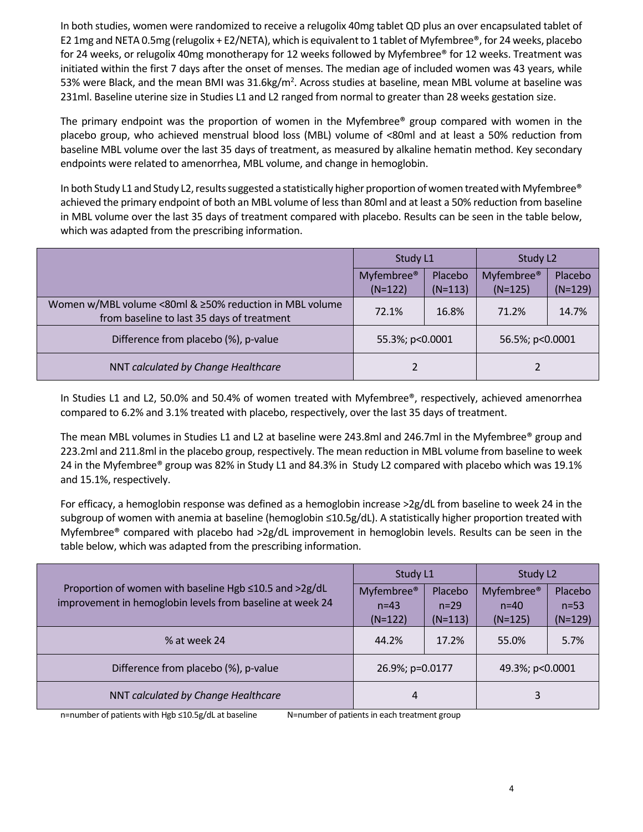In both studies, women were randomized to receive a relugolix 40mg tablet QD plus an over encapsulated tablet of E2 1mg and NETA 0.5mg (relugolix + E2/NETA), which is equivalentto 1 tablet of Myfembree®, for 24 weeks, placebo for 24 weeks, or relugolix 40mg monotherapy for 12 weeks followed by Myfembree® for 12 weeks. Treatment was initiated within the first 7 days after the onset of menses. The median age of included women was 43 years, while 53% were Black, and the mean BMI was 31.6kg/m<sup>2</sup>. Across studies at baseline, mean MBL volume at baseline was 231ml. Baseline uterine size in Studies L1 and L2 ranged from normal to greater than 28 weeks gestation size.

The primary endpoint was the proportion of women in the Myfembree® group compared with women in the placebo group, who achieved menstrual blood loss (MBL) volume of ˂80ml and at least a 50% reduction from baseline MBL volume over the last 35 days of treatment, as measured by alkaline hematin method. Key secondary endpoints were related to amenorrhea, MBL volume, and change in hemoglobin.

In both Study L1 and Study L2, results suggested a statistically higher proportion of women treated with Myfembree® achieved the primary endpoint of both an MBL volume of lessthan 80ml and at least a 50% reduction from baseline in MBL volume over the last 35 days of treatment compared with placebo. Results can be seen in the table below, which was adapted from the prescribing information.

|                                                                                                       | Study L1               |           | Study L <sub>2</sub>   |           |
|-------------------------------------------------------------------------------------------------------|------------------------|-----------|------------------------|-----------|
|                                                                                                       | Myfembree <sup>®</sup> | Placebo   | Myfembree <sup>®</sup> | Placebo   |
|                                                                                                       | $(N=122)$              | $(N=113)$ | $(N=125)$              | $(N=129)$ |
| Women w/MBL volume <80ml & ≥50% reduction in MBL volume<br>from baseline to last 35 days of treatment | 72.1%                  | 16.8%     | 71.2%                  | 14.7%     |
| Difference from placebo (%), p-value                                                                  | 55.3%; p<0.0001        |           | 56.5%; p<0.0001        |           |
| NNT calculated by Change Healthcare                                                                   |                        |           |                        |           |

In Studies L1 and L2, 50.0% and 50.4% of women treated with Myfembree®, respectively, achieved amenorrhea compared to 6.2% and 3.1% treated with placebo, respectively, over the last 35 days of treatment.

The mean MBL volumes in Studies L1 and L2 at baseline were 243.8ml and 246.7ml in the Myfembree® group and 223.2ml and 211.8ml in the placebo group, respectively. The mean reduction in MBL volume from baseline to week 24 in the Myfembree® group was 82% in Study L1 and 84.3% in Study L2 compared with placebo which was 19.1% and 15.1%, respectively.

For efficacy, a hemoglobin response was defined as a hemoglobin increase >2g/dL from baseline to week 24 in the subgroup of women with anemia at baseline (hemoglobin ≤10.5g/dL). A statistically higher proportion treated with Myfembree® compared with placebo had >2g/dL improvement in hemoglobin levels. Results can be seen in the table below, which was adapted from the prescribing information.

| Proportion of women with baseline Hgb ≤10.5 and >2g/dL<br>improvement in hemoglobin levels from baseline at week 24 | Study L1               |           | Study L <sub>2</sub>   |           |
|---------------------------------------------------------------------------------------------------------------------|------------------------|-----------|------------------------|-----------|
|                                                                                                                     | Myfembree <sup>®</sup> | Placebo   | Myfembree <sup>®</sup> | Placebo   |
|                                                                                                                     | $n=43$                 | $n = 29$  | $n = 40$               | $n = 53$  |
|                                                                                                                     | $(N=122)$              | $(N=113)$ | $(N=125)$              | $(N=129)$ |
| % at week 24                                                                                                        | 44.2%                  | 17.2%     | 55.0%                  | 5.7%      |
| Difference from placebo (%), p-value                                                                                | 26.9%; p=0.0177        |           | 49.3%; p<0.0001        |           |
| NNT calculated by Change Healthcare                                                                                 | 4                      |           | 3                      |           |

n=number of patients with Hgb ≤10.5g/dL at baseline N=number of patients in each treatment group